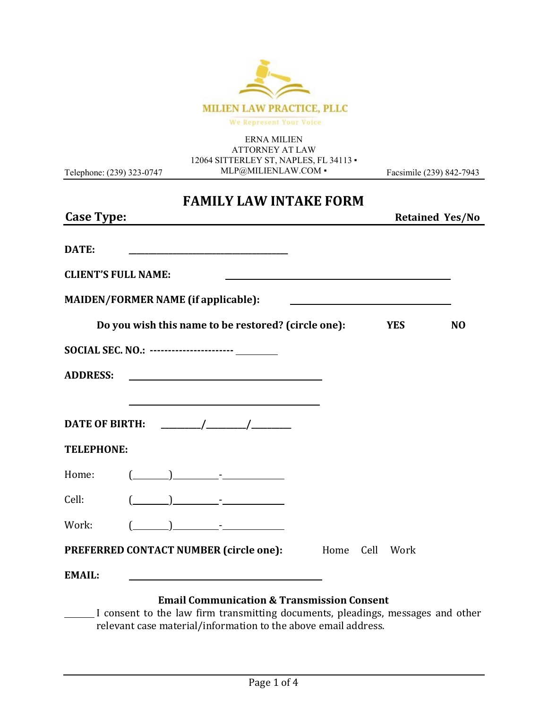

ERNA MILIEN ATTORNEY AT LAW 12064 SITTERLEY ST, NAPLES, FL 34113 · [MLP@MILIENLAW.COM](mailto:MLP@MILIENLAW.COM) ▪

Telephone: (239) 323-0747

Facsimile (239) 842-7943

### **FAMILY LAW INTAKE FORM**

| <b>Case Type:</b>                                       |  |                                                                                                                                                                                                                                                                                                                                                     |                                               |  |            | <b>Retained Yes/No</b> |
|---------------------------------------------------------|--|-----------------------------------------------------------------------------------------------------------------------------------------------------------------------------------------------------------------------------------------------------------------------------------------------------------------------------------------------------|-----------------------------------------------|--|------------|------------------------|
| DATE:                                                   |  |                                                                                                                                                                                                                                                                                                                                                     |                                               |  |            |                        |
| <b>CLIENT'S FULL NAME:</b>                              |  |                                                                                                                                                                                                                                                                                                                                                     |                                               |  |            |                        |
| <b>MAIDEN/FORMER NAME (if applicable):</b>              |  |                                                                                                                                                                                                                                                                                                                                                     | <u> 1980 - Andrea Andrew Maria (h. 1980).</u> |  |            |                        |
|                                                         |  | Do you wish this name to be restored? (circle one):                                                                                                                                                                                                                                                                                                 |                                               |  | <b>YES</b> | N <sub>O</sub>         |
| SOCIAL SEC. NO.: ----------------------- ________       |  |                                                                                                                                                                                                                                                                                                                                                     |                                               |  |            |                        |
| <b>ADDRESS:</b>                                         |  | <u> 1989 - Johann Harry Harry Harry Harry Harry Harry Harry Harry Harry Harry Harry Harry Harry Harry Harry Harry</u>                                                                                                                                                                                                                               |                                               |  |            |                        |
|                                                         |  | <u> 1989 - Johann Barn, mars ann an t-Amhain Aonaich an t-Aonaich an t-Aonaich ann an t-Aonaich ann an t-Aonaich</u>                                                                                                                                                                                                                                |                                               |  |            |                        |
|                                                         |  |                                                                                                                                                                                                                                                                                                                                                     |                                               |  |            |                        |
| <b>TELEPHONE:</b>                                       |  |                                                                                                                                                                                                                                                                                                                                                     |                                               |  |            |                        |
| Home:                                                   |  | $\begin{picture}(20,10) \put(0,0){\line(1,0){10}} \put(15,0){\line(1,0){10}} \put(15,0){\line(1,0){10}} \put(15,0){\line(1,0){10}} \put(15,0){\line(1,0){10}} \put(15,0){\line(1,0){10}} \put(15,0){\line(1,0){10}} \put(15,0){\line(1,0){10}} \put(15,0){\line(1,0){10}} \put(15,0){\line(1,0){10}} \put(15,0){\line(1,0){10}} \put(15,0){\line(1$ |                                               |  |            |                        |
| Cell:                                                   |  | $\begin{pmatrix} 1 & 1 \\ 1 & 1 \end{pmatrix}$                                                                                                                                                                                                                                                                                                      |                                               |  |            |                        |
| Work:                                                   |  | $( )$ ) $-$                                                                                                                                                                                                                                                                                                                                         |                                               |  |            |                        |
| <b>PREFERRED CONTACT NUMBER (circle one):</b> Home Cell |  |                                                                                                                                                                                                                                                                                                                                                     |                                               |  | Work       |                        |
| <b>EMAIL:</b>                                           |  |                                                                                                                                                                                                                                                                                                                                                     |                                               |  |            |                        |
|                                                         |  | <b>Email Communication &amp; Transmission Consent</b>                                                                                                                                                                                                                                                                                               |                                               |  |            |                        |

I consent to the law firm transmitting documents, pleadings, messages and other relevant case material/information to the above email address.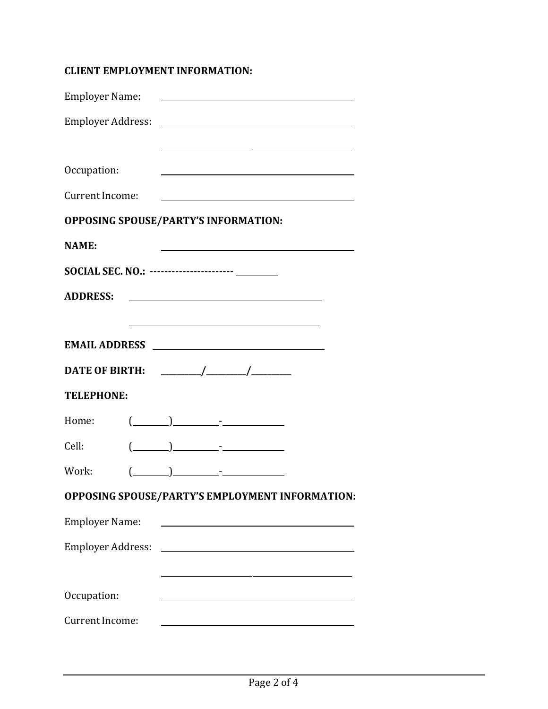#### **CLIENT EMPLOYMENT INFORMATION:**

| Employer Name:                                    |  |                                                                                                                                                                                                                                                                                                                                                                                                                                                                                                                                                                             |                                                               |
|---------------------------------------------------|--|-----------------------------------------------------------------------------------------------------------------------------------------------------------------------------------------------------------------------------------------------------------------------------------------------------------------------------------------------------------------------------------------------------------------------------------------------------------------------------------------------------------------------------------------------------------------------------|---------------------------------------------------------------|
|                                                   |  |                                                                                                                                                                                                                                                                                                                                                                                                                                                                                                                                                                             |                                                               |
|                                                   |  |                                                                                                                                                                                                                                                                                                                                                                                                                                                                                                                                                                             |                                                               |
| Occupation:                                       |  |                                                                                                                                                                                                                                                                                                                                                                                                                                                                                                                                                                             |                                                               |
| Current Income:                                   |  |                                                                                                                                                                                                                                                                                                                                                                                                                                                                                                                                                                             | <u> 1989 - Johann Barn, fransk politik fotograf (d. 1989)</u> |
| <b>OPPOSING SPOUSE/PARTY'S INFORMATION:</b>       |  |                                                                                                                                                                                                                                                                                                                                                                                                                                                                                                                                                                             |                                                               |
| <b>NAME:</b>                                      |  |                                                                                                                                                                                                                                                                                                                                                                                                                                                                                                                                                                             |                                                               |
| SOCIAL SEC. NO.: ----------------------- ________ |  |                                                                                                                                                                                                                                                                                                                                                                                                                                                                                                                                                                             |                                                               |
| <b>ADDRESS:</b>                                   |  |                                                                                                                                                                                                                                                                                                                                                                                                                                                                                                                                                                             |                                                               |
|                                                   |  | <u> 1989 - Johann Barn, amerikansk politiker (d. 1989)</u>                                                                                                                                                                                                                                                                                                                                                                                                                                                                                                                  |                                                               |
|                                                   |  |                                                                                                                                                                                                                                                                                                                                                                                                                                                                                                                                                                             |                                                               |
|                                                   |  |                                                                                                                                                                                                                                                                                                                                                                                                                                                                                                                                                                             |                                                               |
| <b>TELEPHONE:</b>                                 |  |                                                                                                                                                                                                                                                                                                                                                                                                                                                                                                                                                                             |                                                               |
| Home:                                             |  | $\begin{array}{ccc} \begin{array}{ccc} \hline \end{array} & \begin{array}{ccc} \hline \end{array} & \begin{array}{ccc} \hline \end{array} & \begin{array}{ccc} \hline \end{array} & \begin{array}{ccc} \hline \end{array} & \begin{array}{ccc} \hline \end{array} & \begin{array}{ccc} \hline \end{array} & \begin{array}{ccc} \hline \end{array} & \begin{array}{ccc} \hline \end{array} & \begin{array}{ccc} \hline \end{array} & \begin{array}{ccc} \hline \end{array} & \begin{array}{ccc} \hline \end{array} & \begin{array}{ccc} \hline \end{array} & \begin{array}{$ |                                                               |
| Cell:                                             |  |                                                                                                                                                                                                                                                                                                                                                                                                                                                                                                                                                                             |                                                               |
| Work:                                             |  |                                                                                                                                                                                                                                                                                                                                                                                                                                                                                                                                                                             |                                                               |
|                                                   |  |                                                                                                                                                                                                                                                                                                                                                                                                                                                                                                                                                                             | OPPOSING SPOUSE/PARTY'S EMPLOYMENT INFORMATION:               |
| <b>Employer Name:</b>                             |  |                                                                                                                                                                                                                                                                                                                                                                                                                                                                                                                                                                             |                                                               |
| Employer Address:                                 |  |                                                                                                                                                                                                                                                                                                                                                                                                                                                                                                                                                                             |                                                               |
|                                                   |  |                                                                                                                                                                                                                                                                                                                                                                                                                                                                                                                                                                             |                                                               |
| Occupation:                                       |  | <u> 1989 - Johann Stoff, deutscher Stoffen und der Stoffen und der Stoffen und der Stoffen und der Stoffen und der</u>                                                                                                                                                                                                                                                                                                                                                                                                                                                      |                                                               |
| <b>Current Income:</b>                            |  |                                                                                                                                                                                                                                                                                                                                                                                                                                                                                                                                                                             |                                                               |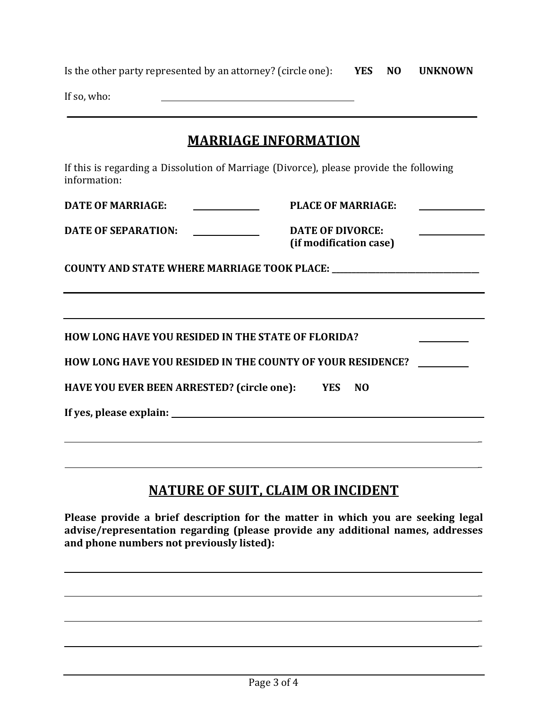| Is the other party represented by an attorney? (circle one): | YES NO | <b>UNKNOWN</b> |
|--------------------------------------------------------------|--------|----------------|
| If so, who:                                                  |        |                |

### **MARRIAGE INFORMATION**

If this is regarding a Dissolution of Marriage (Divorce), please provide the following information:

**DATE OF MARRIAGE:**

**PLACE OF MARRIAGE:**

**DATE OF SEPARATION:**  $\begin{aligned} \mathcal{L}_{\text{max}}(\mathcal{L}_{\text{max}}) = \mathcal{L}_{\text{max}}(\mathcal{L}_{\text{max}}) \end{aligned}$  **DATE OF DIVORCE: (if modification case)**

 $\overline{a}$ 

\_

\_

 $\overline{a}$ 

\_

**COUNTY AND STATE WHERE MARRIAGE TOOK PLACE: \_\_\_\_\_\_\_\_\_\_\_\_\_\_\_\_\_\_\_\_\_\_\_\_\_\_\_\_\_\_\_\_\_\_\_\_\_**

| HOW LONG HAVE YOU RESIDED IN THE STATE OF FLORIDA? |  |
|----------------------------------------------------|--|
|                                                    |  |

**HOW LONG HAVE YOU RESIDED IN THE COUNTY OF YOUR RESIDENCE?** 

**HAVE YOU EVER BEEN ARRESTED? (circle one): YES NO**

**If yes, please explain:** 

# **NATURE OF SUIT, CLAIM OR INCIDENT**

**Please provide a brief description for the matter in which you are seeking legal advise/representation regarding (please provide any additional names, addresses and phone numbers not previously listed):**